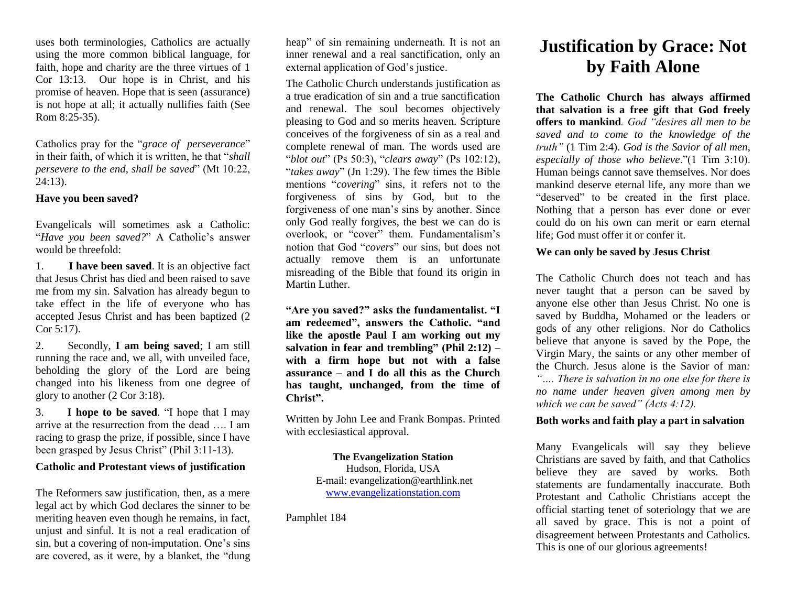uses both terminologies, Catholics are actually using the more common biblical language, for faith, hope and charity are the three virtues of 1 Cor 13:13. Our hope is in Christ, and his promise of heaven. Hope that is seen (assurance) is not hope at all; it actually nullifies faith (See Rom 8:25-35).

Catholics pray for the "*grace of perseverance*" in their faith, of which it is written, he that "*shall persevere to the end, shall be saved*" (Mt 10:22, 24:13).

# **Have you been saved?**

Evangelicals will sometimes ask a Catholic: "*Have you been saved?*" A Catholic's answer would be threefold:

1. **I have been saved**. It is an objective fact that Jesus Christ has died and been raised to save me from my sin. Salvation has already begun to take effect in the life of everyone who has accepted Jesus Christ and has been baptized (2 Cor 5:17).

2. Secondly, **I am being saved**; I am still running the race and, we all, with unveiled face, beholding the glory of the Lord are being changed into his likeness from one degree of glory to another (2 Cor 3:18).

3. **I hope to be saved**. "I hope that I may arrive at the resurrection from the dead …. I am racing to grasp the prize, if possible, since I have been grasped by Jesus Christ" (Phil 3:11-13).

## **Catholic and Protestant views of justification**

The Reformers saw justification, then, as a mere legal act by which God declares the sinner to be meriting heaven even though he remains, in fact, unjust and sinful. It is not a real eradication of sin, but a covering of non-imputation. One's sins are covered, as it were, by a blanket, the "dung heap" of sin remaining underneath. It is not an inner renewal and a real sanctification, only an external application of God's justice.

The Catholic Church understands justification as a true eradication of sin and a true sanctification and renewal. The soul becomes objectively pleasing to God and so merits heaven. Scripture conceives of the forgiveness of sin as a real and complete renewal of man. The words used are "*blot out*" (Ps 50:3), "*clears away*" (Ps 102:12), "*takes away*" (Jn 1:29). The few times the Bible mentions "*covering*" sins, it refers not to the forgiveness of sins by God, but to the forgiveness of one man's sins by another. Since only God really forgives, the best we can do is overlook, or "cover" them. Fundamentalism's notion that God "*covers*" our sins, but does not actually remove them is an unfortunate misreading of the Bible that found its origin in Martin Luther.

**"Are you saved?" asks the fundamentalist. "I am redeemed", answers the Catholic. "and like the apostle Paul I am working out my salvation in fear and trembling" (Phil 2:12) – with a firm hope but not with a false assurance – and I do all this as the Church has taught, unchanged, from the time of Christ".** 

Written by John Lee and Frank Bompas. Printed with ecclesiastical approval.

> **The Evangelization Station** Hudson, Florida, USA E-mail: evangelization@earthlink.net [www.evangelizationstation.com](http://www.pjpiisoe.org/)

Pamphlet 184

# **Justification by Grace: Not by Faith Alone**

**The Catholic Church has always affirmed that salvation is a free gift that God freely offers to mankind***. God "desires all men to be saved and to come to the knowledge of the truth"* (1 Tim 2:4). *God is the Savior of all men, especially of those who believe*."(1 Tim 3:10). Human beings cannot save themselves. Nor does mankind deserve eternal life, any more than we "deserved" to be created in the first place. Nothing that a person has ever done or ever could do on his own can merit or earn eternal life; God must offer it or confer it.

# **We can only be saved by Jesus Christ**

The Catholic Church does not teach and has never taught that a person can be saved by anyone else other than Jesus Christ. No one is saved by Buddha, Mohamed or the leaders or gods of any other religions. Nor do Catholics believe that anyone is saved by the Pope, the Virgin Mary, the saints or any other member of the Church. Jesus alone is the Savior of man*: "…. There is salvation in no one else for there is no name under heaven given among men by which we can be saved" (Acts 4:12).* 

# **Both works and faith play a part in salvation**

Many Evangelicals will say they believe Christians are saved by faith, and that Catholics believe they are saved by works. Both statements are fundamentally inaccurate. Both Protestant and Catholic Christians accept the official starting tenet of soteriology that we are all saved by grace. This is not a point of disagreement between Protestants and Catholics. This is one of our glorious agreements!